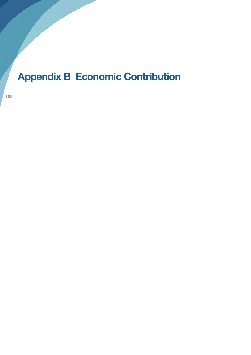## **Appendix B Economic Contribution**

168